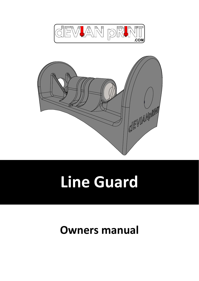



# **Line Guard**

### **Owners manual**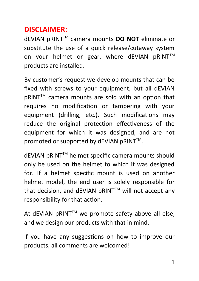### **DISCLAIMER:**

dEVIAN pRINTTM camera mounts **DO NOT** eliminate or substitute the use of a quick release/cutaway system on your helmet or gear, where dEVIAN pRINT™ products are installed.

By customer's request we develop mounts that can be fixed with screws to your equipment, but all dEVIAN pRINT™ camera mounts are sold with an option that requires no modification or tampering with your equipment (drilling, etc.). Such modifications may reduce the original protection effectiveness of the equipment for which it was designed, and are not promoted or supported by dEVIAN pRINT™.

dEVIAN pRINTTM helmet specific camera mounts should only be used on the helmet to which it was designed for. If a helmet specific mount is used on another helmet model, the end user is solely responsible for that decision, and dEVIAN pRINT™ will not accept any responsibility for that action.

At dEVIAN pRINT™ we promote safety above all else, and we design our products with that in mind.

If you have any suggestions on how to improve our products, all comments are welcomed!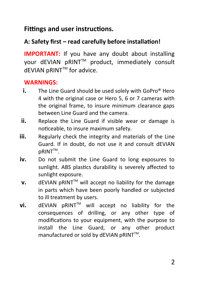#### **Fittings and user instructions.**

#### **A: Safety first – read carefully before installation!**

**IMPORTANT:** If you have any doubt about installing vour dEVIAN pRINT™ product, immediately consult dEVIAN pRINT™ for advice.

#### **WARNINGS:**

- **i.** The Line Guard should be used solely with GoPro<sup>®</sup> Hero 4 with the original case or Hero 5, 6 or 7 cameras with the original frame, to insure minimum clearance gaps between Line Guard and the camera.
- **ii.** Replace the Line Guard if visible wear or damage is noticeable, to insure maximum safety.
- **iii.** Regularly check the integrity and materials of the Line Guard. If in doubt, do not use it and consult dEVIAN pRINT™.
- **iv.** Do not submit the Line Guard to long exposures to sunlight. ABS plastics durability is severely affected to sunlight exposure.
- $v.$  dEVIAN pRINT<sup>TM</sup> will accept no liability for the damage in parts which have been poorly handled or subjected to ill treatment by users.
- $vi.$  dEVIAN  $DRINT^{TM}$  will accept no liability for the consequences of drilling, or any other type of modifications to your equipment, with the purpose to install the Line Guard, or any other product manufactured or sold by dEVIAN pRINT™.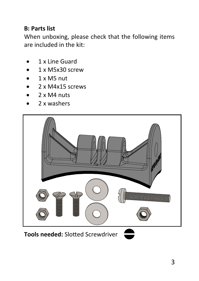#### **B: Parts list**

When unboxing, please check that the following items are included in the kit:

- 1 x Line Guard
- 1 x M5x30 screw
- 1 x M5 nut
- 2 x M4x15 screws
- 2 x M4 nuts
- 2 x washers

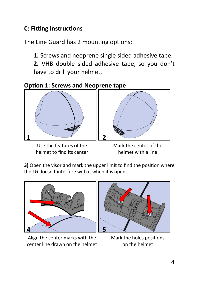#### **C: Fitting instructions**

The Line Guard has 2 mounting options:

**1.** Screws and neoprene single sided adhesive tape.

**2.** VHB double sided adhesive tape, so you don't have to drill your helmet.

**Option 1: Screws and Neoprene tape**



Use the features of the Mark the center of the helmet to find its center helmet with a line



**3)** Open the visor and mark the upper limit to find the position where the LG doesn't interfere with it when it is open.



Align the center marks with the Mark the holes positions center line drawn on the helmet on the helmet

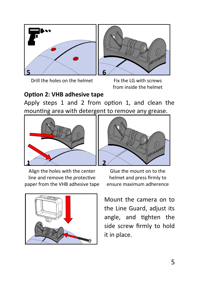

Drill the holes on the helmet Fix the LG with screws

from inside the helmet

#### **Option 2: VHB adhesive tape**

Apply steps 1 and 2 from option 1, and clean the mounting area with detergent to remove any grease.





Align the holes with the center Glue the mount on to the line and remove the protective helmet and press firmly to paper from the VHB adhesive tape ensure maximum adherence



Mount the camera on to the Line Guard, adjust its angle, and tighten the side screw firmly to hold it in place.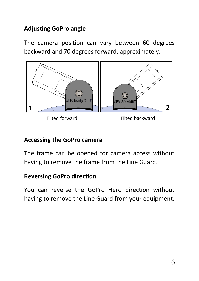#### **Adjusting GoPro angle**

The camera position can vary between 60 degrees backward and 70 degrees forward, approximately.



#### **Accessing the GoPro camera**

The frame can be opened for camera access without having to remove the frame from the Line Guard.

#### **Reversing GoPro direction**

You can reverse the GoPro Hero direction without having to remove the Line Guard from your equipment.